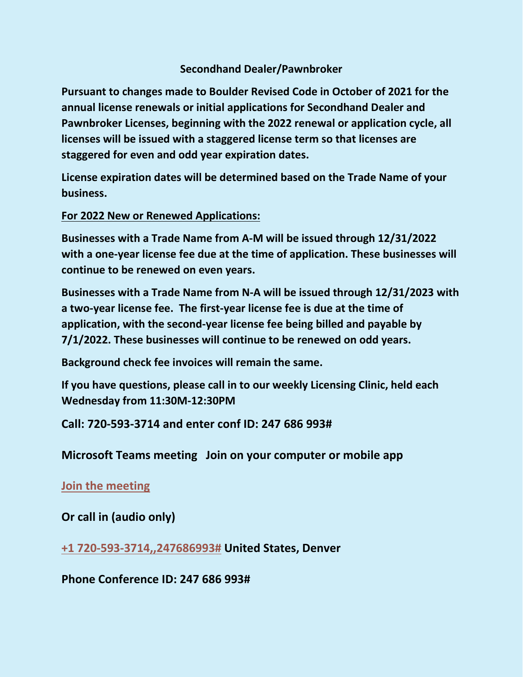# **Secondhand Dealer/Pawnbroker**

**Pursuant to changes made to Boulder Revised Code in October of 2021 for the annual license renewals or initial applications for Secondhand Dealer and Pawnbroker Licenses, beginning with the 2022 renewal or application cycle, all licenses will be issued with a staggered license term so that licenses are staggered for even and odd year expiration dates.**

**License expiration dates will be determined based on the Trade Name of your business.**

**For 2022 New or Renewed Applications:**

**Businesses with a Trade Name from A-M will be issued through 12/31/2022 with a one-year license fee due at the time of application. These businesses will continue to be renewed on even years.**

**Businesses with a Trade Name from N-A will be issued through 12/31/2023 with a two-year license fee. The first-year license fee is due at the time of application, with the second-year license fee being billed and payable by 7/1/2022. These businesses will continue to be renewed on odd years.**

**Background check fee invoices will remain the same.**

**If you have questions, please call in to our weekly Licensing Clinic, held each Wednesday from 11:30M-12:30PM**

**Call: 720-593-3714 and enter conf ID: 247 686 993#**

**Microsoft Teams meeting Join on your computer or mobile app**

**[Join the meeting](https://teams.microsoft.com/l/meetup-join/19%3ameeting_MGMzYWMxN2ItYTFlNS00YTk0LWFlNWYtNjJjMzUwZmUxNDQ4%40thread.v2/0?context=%7b%22Tid%22%3a%220a7f94bb-40af-4edc-afad-2c1af27bc0f3%22%2c%22Oid%22%3a%22d7d102c6-5172-49ee-9427-e0148194160a%22%7d)**

**Or call in (audio only)**

**[+1 720-593-3714,,247686993#](tel:+17205933714,,247686993) United States, Denver**

**Phone Conference ID: 247 686 993#**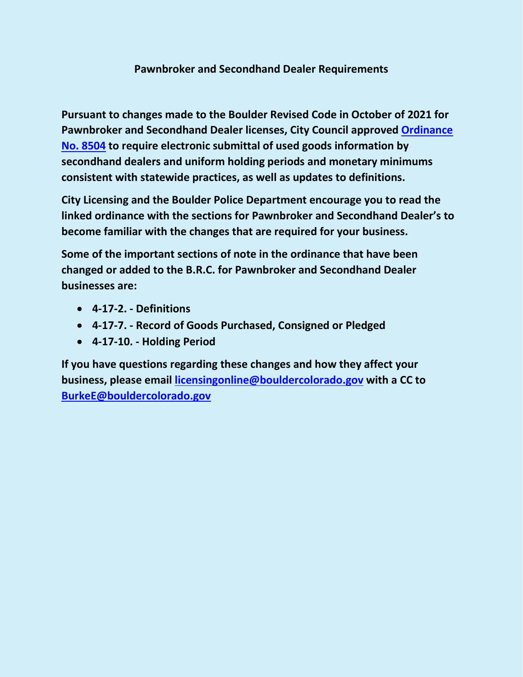# **Pawnbroker and Secondhand Dealer Requirements**

**Pursuant to changes made to the Boulder Revised Code in October of 2021 for Pawnbroker and Secondhand Dealer licenses, City Council approved [Ordinance](https://library.municode.com/co/boulder/ordinances/municipal_code?nodeId=1114612)  [No. 8504](https://library.municode.com/co/boulder/ordinances/municipal_code?nodeId=1114612) to require electronic submittal of used goods information by secondhand dealers and uniform holding periods and monetary minimums consistent with statewide practices, as well as updates to definitions.**

**City Licensing and the Boulder Police Department encourage you to read the linked ordinance with the sections for Pawnbroker and Secondhand Dealer's to become familiar with the changes that are required for your business.**

**Some of the important sections of note in the ordinance that have been changed or added to the B.R.C. for Pawnbroker and Secondhand Dealer businesses are:**

- **4-17-2. - Definitions**
- **4-17-7. - Record of Goods Purchased, Consigned or Pledged**
- **4-17-10. - Holding Period**

**If you have questions regarding these changes and how they affect your business, please email [licensingonline@bouldercolorado.gov](mailto:licensingonline@bouldercolorado.gov) with a CC to [BurkeE@bouldercolorado.gov](mailto:BurkeE@bouldercolorado.gov)**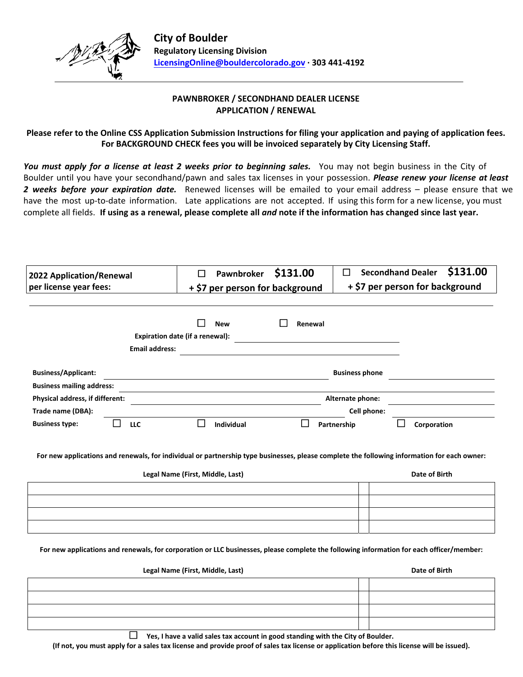

## **PAWNBROKER / SECONDHAND DEALER LICENSE APPLICATION / RENEWAL**

### **Please refer to the Online CSS Application Submission Instructions for filing your application and paying of application fees. For BACKGROUND CHECK fees you will be invoiced separately by City Licensing Staff.**

*You must apply for a license at least 2 weeks prior to beginning sales.* You may not begin business in the City of Boulder until you have your secondhand/pawn and sales tax licenses in your possession. *Please renew your license at least 2 weeks before your expiration date.* Renewed licenses will be emailed to your email address – please ensure that we have the most up-to-date information. Late applications are not accepted. If using this form for a new license, you must complete all fields. **If using as a renewal, please complete all** *and* **note if the information has changed since last year.** 

| 2022 Application/Renewal | <b>Pawnbroker \$131.00</b>      | $\Box$ Secondhand Dealer \$131.00 |  |  |  |  |
|--------------------------|---------------------------------|-----------------------------------|--|--|--|--|
| per license year fees:   | + \$7 per person for background | + \$7 per person for background   |  |  |  |  |

|                                  | Expiration date (if a renewal): | <b>New</b>        | Renewal |                       |             |
|----------------------------------|---------------------------------|-------------------|---------|-----------------------|-------------|
|                                  | <b>Email address:</b>           |                   |         |                       |             |
| <b>Business/Applicant:</b>       |                                 |                   |         | <b>Business phone</b> |             |
| <b>Business mailing address:</b> |                                 |                   |         |                       |             |
| Physical address, if different:  |                                 |                   |         | Alternate phone:      |             |
| Trade name (DBA):                |                                 |                   |         | Cell phone:           |             |
| <b>Business type:</b>            | LLC                             | <b>Individual</b> |         | Partnership           | Corporation |

For new applications and renewals, for individual or partnership type businesses, please complete the following information for each owner:

| Legal Name (First, Middle, Last) | Date of Birth |  |  |
|----------------------------------|---------------|--|--|
|                                  |               |  |  |
|                                  |               |  |  |
|                                  |               |  |  |
|                                  |               |  |  |

For new applications and renewals, for corporation or LLC businesses, please complete the following information for each officer/member:

| Legal Name (First, Middle, Last) | Date of Birth |  |  |
|----------------------------------|---------------|--|--|
|                                  |               |  |  |
|                                  |               |  |  |
|                                  |               |  |  |
|                                  |               |  |  |

 **Yes, I have a valid sales tax account in good standing with the City of Boulder.**

(If not, you must apply for a sales tax license and provide proof of sales tax license or application before this license will be issued).